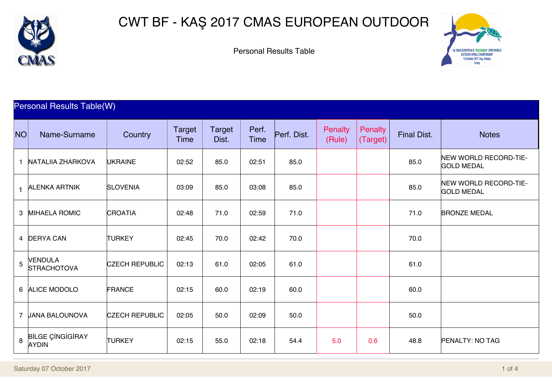

## CWT BF - KAŞ 2017 CMAS EUROPEAN OUTDOOR

Personal Results Table



## Personal Results Table(W)

| <b>NO</b>      | Name-Surname                            | Country               | Target<br>Time | Target<br>Dist. | Perf.<br>Time | Perf. Dist. | <b>Penalty</b><br>(Rule) | Penalty<br>(Target) | <b>Final Dist.</b> | <b>Notes</b>                               |
|----------------|-----------------------------------------|-----------------------|----------------|-----------------|---------------|-------------|--------------------------|---------------------|--------------------|--------------------------------------------|
| $\mathbf{1}$   | <b>NATALIIA ZHARKOVA</b>                | <b>UKRAINE</b>        | 02:52          | 85.0            | 02:51         | 85.0        |                          |                     | 85.0               | NEW WORLD RECORD-TIE-<br><b>GOLD MEDAL</b> |
|                | 1 ALENKA ARTNIK                         | <b>SLOVENIA</b>       | 03:09          | 85.0            | 03:08         | 85.0        |                          |                     | 85.0               | NEW WORLD RECORD-TIE-<br><b>GOLD MEDAL</b> |
|                | 3 MIHAELA ROMIC                         | <b>CROATIA</b>        | 02:48          | 71.0            | 02:59         | 71.0        |                          |                     | 71.0               | <b>BRONZE MEDAL</b>                        |
|                | 4 <b>DERYA CAN</b>                      | <b>TURKEY</b>         | 02:45          | 70.0            | 02:42         | 70.0        |                          |                     | 70.0               |                                            |
| $\overline{5}$ | <b>VENDULA</b><br><b>STRACHOTOVA</b>    | <b>CZECH REPUBLIC</b> | 02:13          | 61.0            | 02:05         | 61.0        |                          |                     | 61.0               |                                            |
|                | 6 ALICE MODOLO                          | FRANCE                | 02:15          | 60.0            | 02:19         | 60.0        |                          |                     | 60.0               |                                            |
|                | 7 JANA BALOUNOVA                        | <b>CZECH REPUBLIC</b> | 02:05          | 50.0            | 02:09         | 50.0        |                          |                     | 50.0               |                                            |
| 8              | <b>BILGE CINGIGIRAY</b><br><b>AYDIN</b> | <b>TURKEY</b>         | 02:15          | 55.0            | 02:18         | 54.4        | 5.0                      | 0.6                 | 48.8               | PENALTY: NO TAG                            |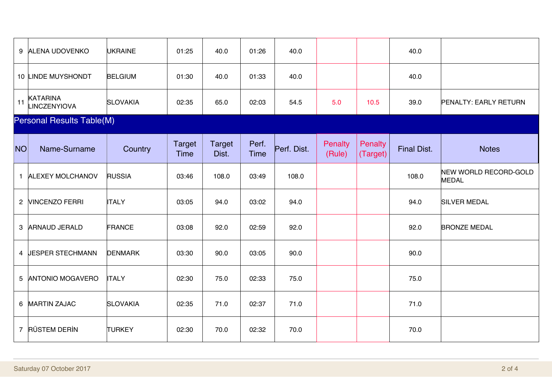| 9                                | <b>ALENA UDOVENKO</b>           | <b>UKRAINE</b>  | 01:25                        | 40.0                   | 01:26                | 40.0        |                   |                            | 40.0               |                                       |  |
|----------------------------------|---------------------------------|-----------------|------------------------------|------------------------|----------------------|-------------|-------------------|----------------------------|--------------------|---------------------------------------|--|
|                                  | 10 LINDE MUYSHONDT              | <b>BELGIUM</b>  | 01:30                        | 40.0                   | 01:33                | 40.0        |                   |                            | 40.0               |                                       |  |
| 11                               | <b>KATARINA</b><br>LINCZENYIOVA | <b>SLOVAKIA</b> | 02:35                        | 65.0                   | 02:03                | 54.5        | 5.0               | 10.5                       | 39.0               | <b>PENALTY: EARLY RETURN</b>          |  |
| <b>Personal Results Table(M)</b> |                                 |                 |                              |                        |                      |             |                   |                            |                    |                                       |  |
| NO <sub>1</sub>                  | Name-Surname                    | Country         | <b>Target</b><br><b>Time</b> | <b>Target</b><br>Dist. | Perf.<br><b>Time</b> | Perf. Dist. | Penalty<br>(Rule) | <b>Penalty</b><br>(Target) | <b>Final Dist.</b> | <b>Notes</b>                          |  |
| $\mathbf{1}$                     | <b>ALEXEY MOLCHANOV</b>         | <b>RUSSIA</b>   | 03:46                        | 108.0                  | 03:49                | 108.0       |                   |                            | 108.0              | NEW WORLD RECORD-GOLD<br><b>MEDAL</b> |  |
|                                  | 2 <b>NINCENZO FERRI</b>         | <b>ITALY</b>    | 03:05                        | 94.0                   | 03:02                | 94.0        |                   |                            | 94.0               | <b>SILVER MEDAL</b>                   |  |
| 3                                | <b>ARNAUD JERALD</b>            | FRANCE          | 03:08                        | 92.0                   | 02:59                | 92.0        |                   |                            | 92.0               | <b>BRONZE MEDAL</b>                   |  |
|                                  | 4 <b>JESPER STECHMANN</b>       | <b>DENMARK</b>  | 03:30                        | 90.0                   | 03:05                | 90.0        |                   |                            | 90.0               |                                       |  |
| 5                                | <b>ANTONIO MOGAVERO</b>         | <b>ITALY</b>    | 02:30                        | 75.0                   | 02:33                | 75.0        |                   |                            | 75.0               |                                       |  |
|                                  | 6 MARTIN ZAJAC                  | <b>SLOVAKIA</b> | 02:35                        | 71.0                   | 02:37                | 71.0        |                   |                            | 71.0               |                                       |  |
|                                  | 7 RÜSTEM DERİN                  | <b>TURKEY</b>   | 02:30                        | 70.0                   | 02:32                | 70.0        |                   |                            | 70.0               |                                       |  |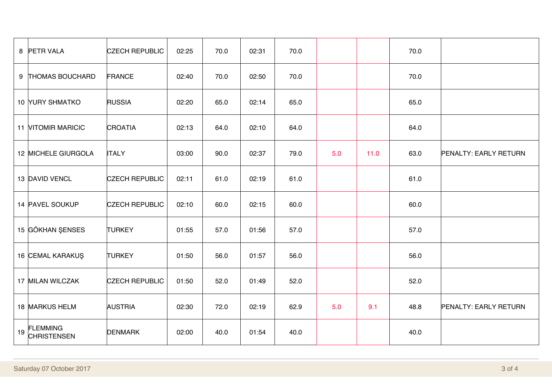|    | 8 PETR VALA                           | <b>CZECH REPUBLIC</b> | 02:25 | 70.0 | 02:31 | 70.0 |     |      | 70.0 |                       |
|----|---------------------------------------|-----------------------|-------|------|-------|------|-----|------|------|-----------------------|
|    | 9 THOMAS BOUCHARD                     | FRANCE                | 02:40 | 70.0 | 02:50 | 70.0 |     |      | 70.0 |                       |
|    | 10 YURY SHMATKO                       | <b>RUSSIA</b>         | 02:20 | 65.0 | 02:14 | 65.0 |     |      | 65.0 |                       |
|    | <b>11 NITOMIR MARICIC</b>             | <b>CROATIA</b>        | 02:13 | 64.0 | 02:10 | 64.0 |     |      | 64.0 |                       |
|    | 12 MICHELE GIURGOLA                   | <b>ITALY</b>          | 03:00 | 90.0 | 02:37 | 79.0 | 5.0 | 11.0 | 63.0 | PENALTY: EARLY RETURN |
|    | 13 DAVID VENCL                        | <b>CZECH REPUBLIC</b> | 02:11 | 61.0 | 02:19 | 61.0 |     |      | 61.0 |                       |
|    | 14 PAVEL SOUKUP                       | <b>CZECH REPUBLIC</b> | 02:10 | 60.0 | 02:15 | 60.0 |     |      | 60.0 |                       |
|    | 15 GÖKHAN ŞENSES                      | <b>TURKEY</b>         | 01:55 | 57.0 | 01:56 | 57.0 |     |      | 57.0 |                       |
|    | 16 CEMAL KARAKUŞ                      | <b>TURKEY</b>         | 01:50 | 56.0 | 01:57 | 56.0 |     |      | 56.0 |                       |
|    | 17 MILAN WILCZAK                      | <b>CZECH REPUBLIC</b> | 01:50 | 52.0 | 01:49 | 52.0 |     |      | 52.0 |                       |
|    | 18 MARKUS HELM                        | <b>AUSTRIA</b>        | 02:30 | 72.0 | 02:19 | 62.9 | 5.0 | 9.1  | 48.8 | PENALTY: EARLY RETURN |
| 19 | <b>FLEMMING</b><br><b>CHRISTENSEN</b> | <b>DENMARK</b>        | 02:00 | 40.0 | 01:54 | 40.0 |     |      | 40.0 |                       |